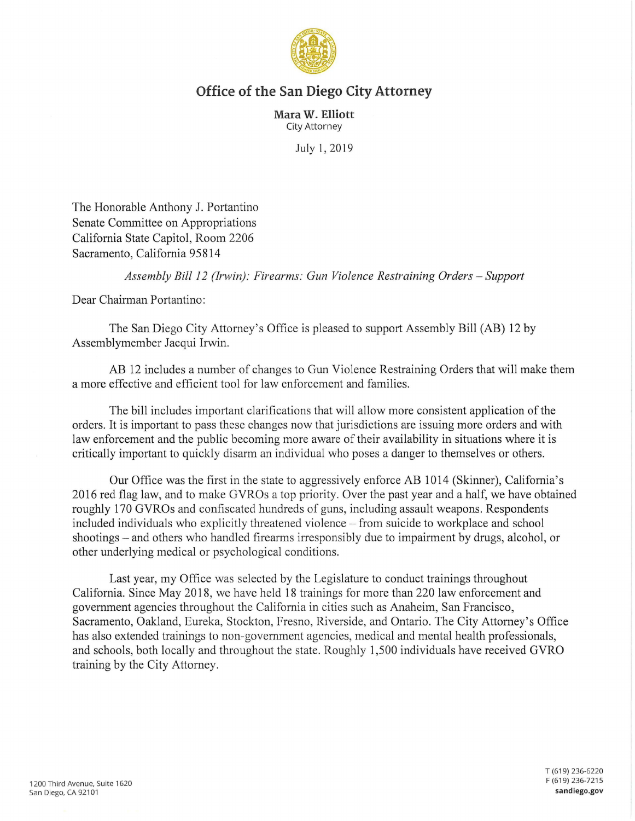

## **Office of the San Diego City Attorney**

**Mara W. Elliott**  City Attorney

July 1, 2019

The Honorable Anthony J. Portantino Senate Committee on Appropriations California State Capitol, Room 2206 Sacramento, California 95814

*Assembly Bill 12 (Irwin): Firearms: Gun Violence Restraining Orders -Support* 

Dear Chairman Portantino:

The San Diego City Attorney's Office is pleased to support Assembly Bill (AB) 12 by Assemblymember Jacqui Irwin.

AB 12 includes a number of changes to Gun Violence Restraining Orders that will make them a more effective and efficient tool for law enforcement and families.

The bill includes important clarifications that will allow more consistent application of the orders. It is important to pass these changes now that jurisdictions are issuing more orders and with law enforcement and the public becoming more aware of their availability in situations where it is critically important to quickly disarm an individual who poses a danger to themselves or others.

Our Office was the first in the state to aggressively enforce AB 1014 (Skinner), California's 2016 red flag law, and to make GVROs a top priority. Over the past year and a half, we have obtained roughly 170 GVROs and confiscated hundreds of guns, including assault weapons. Respondents included individuals who explicitly threatened violence - from suicide to workplace and school shootings – and others who handled firearms irresponsibly due to impairment by drugs, alcohol, or other underlying medical or psychological conditions.

Last year, my Office was selected by the Legislature to conduct trainings throughout California. Since May 2018, we have held 18 trainings for more than 220 law enforcement and government agencies throughout the California in cities such as Anaheim, San Francisco, Sacramento, Oakland, Eureka, Stockton, Fresno, Riverside, and Ontario. The City Attorney's Office has also extended trainings to non-government agencies, medical and mental health professionals, and schools, both locally and throughout the state. Roughly 1,500 individuals have received GYRO training by the City Attorney.

T (619) 236-6220 F (619) 236-7215 **sandiego.gov**